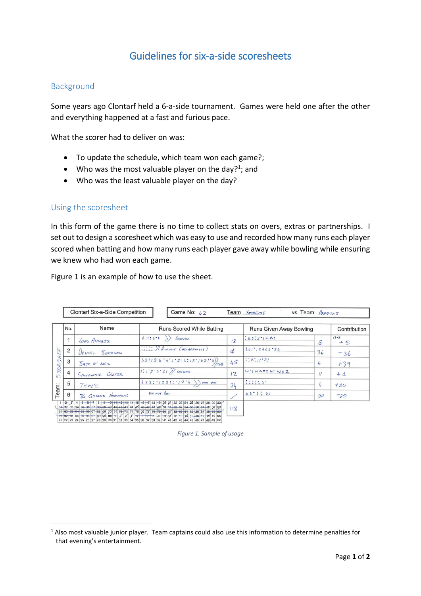# Guidelines for six-a-side scoresheets

## Background

Some years ago Clontarf held a 6-a-side tournament. Games were held one after the other and everything happened at a fast and furious pace.

What the scorer had to deliver on was:

- To update the schedule, which team won each game?;
- Who was the most valuable player on the day?<sup>1</sup>; and
- Who was the least valuable player on the day?

#### Using the scoresheet

1

In this form of the game there is no time to collect stats on overs, extras or partnerships. I set out to design a scoresheet which was easy to use and recorded how many runs each player scored when batting and how many runs each player gave away while bowling while ensuring we knew who had won each game.

[Figure 1](#page-0-0) is an example of how to use the sheet.

|                            | <b>Clontarf Six-a-Side Competition</b> | Game No: $1/2$                                                                                                                                                                                                                                                                                                                                                                                                                                      | Team STARGATE<br>VS. Team $\mathcal{P}_{RAGONS}$ |                                                       |                             |                  |
|----------------------------|----------------------------------------|-----------------------------------------------------------------------------------------------------------------------------------------------------------------------------------------------------------------------------------------------------------------------------------------------------------------------------------------------------------------------------------------------------------------------------------------------------|--------------------------------------------------|-------------------------------------------------------|-----------------------------|------------------|
| No.                        | Name                                   | <b>Runs Scored While Batting</b>                                                                                                                                                                                                                                                                                                                                                                                                                    |                                                  | Runs Given Away Bowling                               |                             | Contribution     |
|                            | LORD ANUBIS                            | BOWNED<br>2:1:4.6                                                                                                                                                                                                                                                                                                                                                                                                                                   | 13                                               | $\therefore$ $\triangle$ 2: $2 \cdot 1 + \triangle$ : | 8                           | $13 - 8$<br>$+5$ |
| $\overline{2}$<br><b>N</b> | <b><i>UANIEL SACKSON</i></b>           | :::: ) RUN OUT (DELIBERATELY)                                                                                                                                                                                                                                                                                                                                                                                                                       | $\phi$                                           | 641'12664'24                                          | 36                          | $-36$            |
| 3                          | SACK O' NEIL                           | 421136.4.1.2.6.12.1421.4<br>$e+B$                                                                                                                                                                                                                                                                                                                                                                                                                   | 45                                               | 1.6:11.21                                             | ь                           | $+39$            |
| <b>DAK</b><br>4            | SAMANTHA CARTER                        | $1:1:2:4:31$ SNUMMER                                                                                                                                                                                                                                                                                                                                                                                                                                | $\overline{2}$                                   | $W'$ $W\Delta 72$ $W'$ $W/2$                          |                             | $+1$             |
| 5                          | TEAL'C                                 | $623:1231:124$ ) Not out                                                                                                                                                                                                                                                                                                                                                                                                                            | 24                                               | 7.1114                                                | $\mathcal{L}_{\mathcal{L}}$ | $+20$            |
| 6                          | R. GEORGE HAMMOND                      | DIONOTBAT                                                                                                                                                                                                                                                                                                                                                                                                                                           |                                                  | 64°64W                                                | 20                          | $-20$            |
| $1 - 2 - 3$                |                                        | 4 5 6 7 8 9 10 11 12 13 14 15 16 17 18 19 20 21 22 23 24 25 26 27 28 29 30<br>(31, 32, 33, 34, 36, 36, 37, 38, 39, 40, 41, 42, 43, 44, 45, 46, 47, 48, 49, 50, 51, 52, 53, 54, 55, 56, 57, 58, 59, 66<br>$61.62.63.64.65.66.67.68.69$ $70.7$ $72.73.74.75.76.74$<br>$73.76.77.79.69.67.68.69$<br>$91.92.63.64.65.66.67.98.99$<br>$91.92.63.64.65.66.67.98.69$<br>$92.7$ $7$ $7$ $8$ $7$ $9$ $7$ $7$ $8$ $7$ $9$ $90.9$ $91.82.63.64.65.66.67.88.69$ | 118                                              |                                                       |                             |                  |

<span id="page-0-0"></span>21 22 23 24 25 26 27 28 29 130 31 32 33 34 35 36 37 38 39 140 41 42 43 44 45 46 47 48 49 150

*Figure 1. Sample of usage*

<sup>1</sup> Also most valuable junior player. Team captains could also use this information to determine penalties for that evening's entertainment.